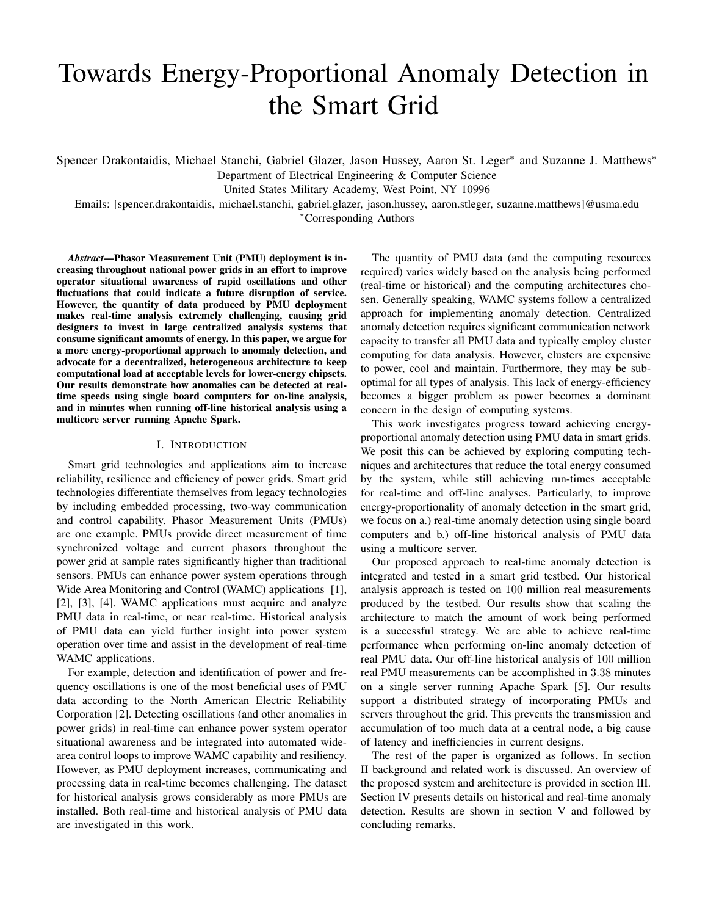# Towards Energy-Proportional Anomaly Detection in the Smart Grid

Spencer Drakontaidis, Michael Stanchi, Gabriel Glazer, Jason Hussey, Aaron St. Leger<sup>\*</sup> and Suzanne J. Matthews<sup>\*</sup> Department of Electrical Engineering & Computer Science

United States Military Academy, West Point, NY 10996

Emails: [spencer.drakontaidis, michael.stanchi, gabriel.glazer, jason.hussey, aaron.stleger, suzanne.matthews]@usma.edu

<sup>∗</sup>Corresponding Authors

*Abstract*—Phasor Measurement Unit (PMU) deployment is increasing throughout national power grids in an effort to improve operator situational awareness of rapid oscillations and other fluctuations that could indicate a future disruption of service. However, the quantity of data produced by PMU deployment makes real-time analysis extremely challenging, causing grid designers to invest in large centralized analysis systems that consume significant amounts of energy. In this paper, we argue for a more energy-proportional approach to anomaly detection, and advocate for a decentralized, heterogeneous architecture to keep computational load at acceptable levels for lower-energy chipsets. Our results demonstrate how anomalies can be detected at realtime speeds using single board computers for on-line analysis, and in minutes when running off-line historical analysis using a multicore server running Apache Spark.

## I. INTRODUCTION

Smart grid technologies and applications aim to increase reliability, resilience and efficiency of power grids. Smart grid technologies differentiate themselves from legacy technologies by including embedded processing, two-way communication and control capability. Phasor Measurement Units (PMUs) are one example. PMUs provide direct measurement of time synchronized voltage and current phasors throughout the power grid at sample rates significantly higher than traditional sensors. PMUs can enhance power system operations through Wide Area Monitoring and Control (WAMC) applications [1], [2], [3], [4]. WAMC applications must acquire and analyze PMU data in real-time, or near real-time. Historical analysis of PMU data can yield further insight into power system operation over time and assist in the development of real-time WAMC applications.

For example, detection and identification of power and frequency oscillations is one of the most beneficial uses of PMU data according to the North American Electric Reliability Corporation [2]. Detecting oscillations (and other anomalies in power grids) in real-time can enhance power system operator situational awareness and be integrated into automated widearea control loops to improve WAMC capability and resiliency. However, as PMU deployment increases, communicating and processing data in real-time becomes challenging. The dataset for historical analysis grows considerably as more PMUs are installed. Both real-time and historical analysis of PMU data are investigated in this work.

The quantity of PMU data (and the computing resources required) varies widely based on the analysis being performed (real-time or historical) and the computing architectures chosen. Generally speaking, WAMC systems follow a centralized approach for implementing anomaly detection. Centralized anomaly detection requires significant communication network capacity to transfer all PMU data and typically employ cluster computing for data analysis. However, clusters are expensive to power, cool and maintain. Furthermore, they may be suboptimal for all types of analysis. This lack of energy-efficiency becomes a bigger problem as power becomes a dominant concern in the design of computing systems.

This work investigates progress toward achieving energyproportional anomaly detection using PMU data in smart grids. We posit this can be achieved by exploring computing techniques and architectures that reduce the total energy consumed by the system, while still achieving run-times acceptable for real-time and off-line analyses. Particularly, to improve energy-proportionality of anomaly detection in the smart grid, we focus on a.) real-time anomaly detection using single board computers and b.) off-line historical analysis of PMU data using a multicore server.

Our proposed approach to real-time anomaly detection is integrated and tested in a smart grid testbed. Our historical analysis approach is tested on 100 million real measurements produced by the testbed. Our results show that scaling the architecture to match the amount of work being performed is a successful strategy. We are able to achieve real-time performance when performing on-line anomaly detection of real PMU data. Our off-line historical analysis of 100 million real PMU measurements can be accomplished in 3.38 minutes on a single server running Apache Spark [5]. Our results support a distributed strategy of incorporating PMUs and servers throughout the grid. This prevents the transmission and accumulation of too much data at a central node, a big cause of latency and inefficiencies in current designs.

The rest of the paper is organized as follows. In section II background and related work is discussed. An overview of the proposed system and architecture is provided in section III. Section IV presents details on historical and real-time anomaly detection. Results are shown in section V and followed by concluding remarks.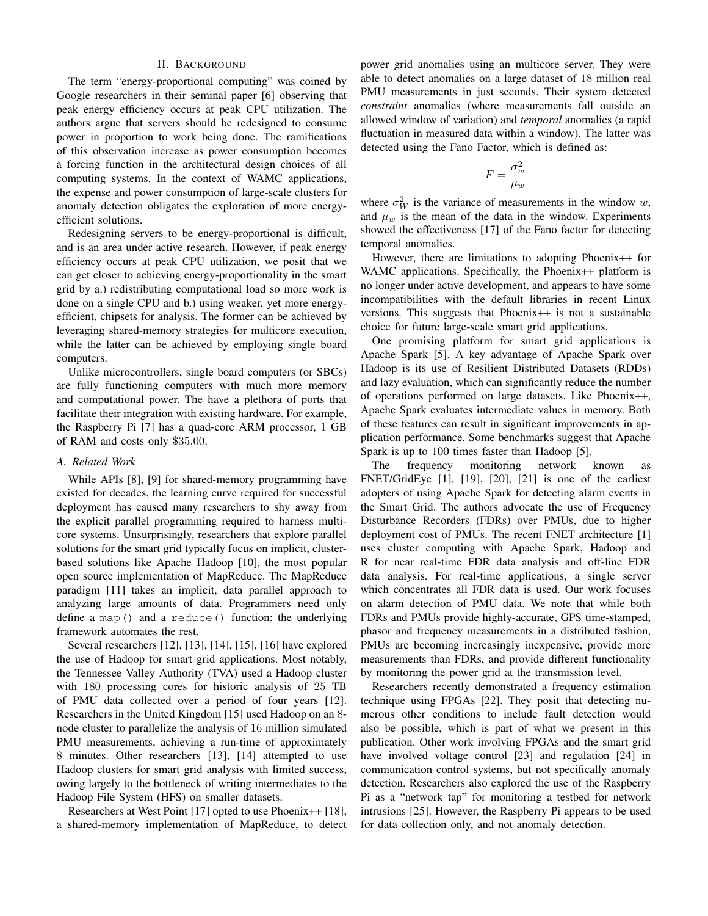# II. BACKGROUND

The term "energy-proportional computing" was coined by Google researchers in their seminal paper [6] observing that peak energy efficiency occurs at peak CPU utilization. The authors argue that servers should be redesigned to consume power in proportion to work being done. The ramifications of this observation increase as power consumption becomes a forcing function in the architectural design choices of all computing systems. In the context of WAMC applications, the expense and power consumption of large-scale clusters for anomaly detection obligates the exploration of more energyefficient solutions.

Redesigning servers to be energy-proportional is difficult, and is an area under active research. However, if peak energy efficiency occurs at peak CPU utilization, we posit that we can get closer to achieving energy-proportionality in the smart grid by a.) redistributing computational load so more work is done on a single CPU and b.) using weaker, yet more energyefficient, chipsets for analysis. The former can be achieved by leveraging shared-memory strategies for multicore execution, while the latter can be achieved by employing single board computers.

Unlike microcontrollers, single board computers (or SBCs) are fully functioning computers with much more memory and computational power. The have a plethora of ports that facilitate their integration with existing hardware. For example, the Raspberry Pi [7] has a quad-core ARM processor, 1 GB of RAM and costs only \$35.00.

# *A. Related Work*

While APIs [8], [9] for shared-memory programming have existed for decades, the learning curve required for successful deployment has caused many researchers to shy away from the explicit parallel programming required to harness multicore systems. Unsurprisingly, researchers that explore parallel solutions for the smart grid typically focus on implicit, clusterbased solutions like Apache Hadoop [10], the most popular open source implementation of MapReduce. The MapReduce paradigm [11] takes an implicit, data parallel approach to analyzing large amounts of data. Programmers need only define a map() and a reduce() function; the underlying framework automates the rest.

Several researchers [12], [13], [14], [15], [16] have explored the use of Hadoop for smart grid applications. Most notably, the Tennessee Valley Authority (TVA) used a Hadoop cluster with 180 processing cores for historic analysis of 25 TB of PMU data collected over a period of four years [12]. Researchers in the United Kingdom [15] used Hadoop on an 8 node cluster to parallelize the analysis of 16 million simulated PMU measurements, achieving a run-time of approximately 8 minutes. Other researchers [13], [14] attempted to use Hadoop clusters for smart grid analysis with limited success, owing largely to the bottleneck of writing intermediates to the Hadoop File System (HFS) on smaller datasets.

Researchers at West Point [17] opted to use Phoenix++ [18], a shared-memory implementation of MapReduce, to detect power grid anomalies using an multicore server. They were able to detect anomalies on a large dataset of 18 million real PMU measurements in just seconds. Their system detected *constraint* anomalies (where measurements fall outside an allowed window of variation) and *temporal* anomalies (a rapid fluctuation in measured data within a window). The latter was detected using the Fano Factor, which is defined as:

$$
F=\frac{\sigma_w^2}{\mu_w}
$$

where  $\sigma_W^2$  is the variance of measurements in the window w, and  $\mu_w$  is the mean of the data in the window. Experiments showed the effectiveness [17] of the Fano factor for detecting temporal anomalies.

However, there are limitations to adopting Phoenix++ for WAMC applications. Specifically, the Phoenix++ platform is no longer under active development, and appears to have some incompatibilities with the default libraries in recent Linux versions. This suggests that Phoenix++ is not a sustainable choice for future large-scale smart grid applications.

One promising platform for smart grid applications is Apache Spark [5]. A key advantage of Apache Spark over Hadoop is its use of Resilient Distributed Datasets (RDDs) and lazy evaluation, which can significantly reduce the number of operations performed on large datasets. Like Phoenix++, Apache Spark evaluates intermediate values in memory. Both of these features can result in significant improvements in application performance. Some benchmarks suggest that Apache Spark is up to 100 times faster than Hadoop [5].

The frequency monitoring network known as FNET/GridEye [1], [19], [20], [21] is one of the earliest adopters of using Apache Spark for detecting alarm events in the Smart Grid. The authors advocate the use of Frequency Disturbance Recorders (FDRs) over PMUs, due to higher deployment cost of PMUs. The recent FNET architecture [1] uses cluster computing with Apache Spark, Hadoop and R for near real-time FDR data analysis and off-line FDR data analysis. For real-time applications, a single server which concentrates all FDR data is used. Our work focuses on alarm detection of PMU data. We note that while both FDRs and PMUs provide highly-accurate, GPS time-stamped, phasor and frequency measurements in a distributed fashion, PMUs are becoming increasingly inexpensive, provide more measurements than FDRs, and provide different functionality by monitoring the power grid at the transmission level.

Researchers recently demonstrated a frequency estimation technique using FPGAs [22]. They posit that detecting numerous other conditions to include fault detection would also be possible, which is part of what we present in this publication. Other work involving FPGAs and the smart grid have involved voltage control [23] and regulation [24] in communication control systems, but not specifically anomaly detection. Researchers also explored the use of the Raspberry Pi as a "network tap" for monitoring a testbed for network intrusions [25]. However, the Raspberry Pi appears to be used for data collection only, and not anomaly detection.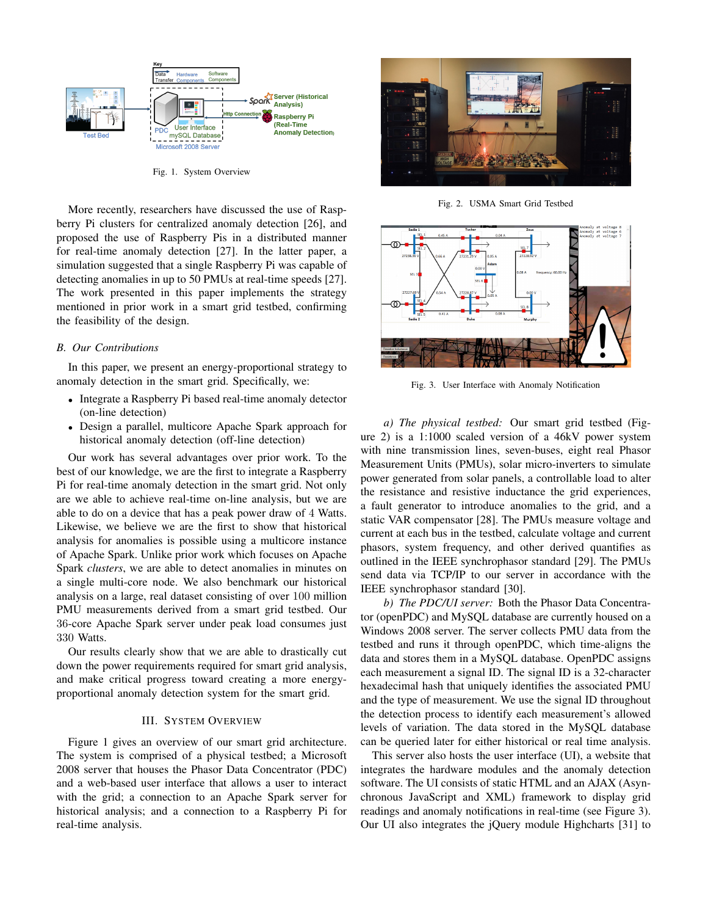

Fig. 1. System Overview

More recently, researchers have discussed the use of Raspberry Pi clusters for centralized anomaly detection [26], and proposed the use of Raspberry Pis in a distributed manner for real-time anomaly detection [27]. In the latter paper, a simulation suggested that a single Raspberry Pi was capable of detecting anomalies in up to 50 PMUs at real-time speeds [27]. The work presented in this paper implements the strategy mentioned in prior work in a smart grid testbed, confirming the feasibility of the design.

## *B. Our Contributions*

In this paper, we present an energy-proportional strategy to anomaly detection in the smart grid. Specifically, we:

- Integrate a Raspberry Pi based real-time anomaly detector (on-line detection)
- Design a parallel, multicore Apache Spark approach for historical anomaly detection (off-line detection)

Our work has several advantages over prior work. To the best of our knowledge, we are the first to integrate a Raspberry Pi for real-time anomaly detection in the smart grid. Not only are we able to achieve real-time on-line analysis, but we are able to do on a device that has a peak power draw of 4 Watts. Likewise, we believe we are the first to show that historical analysis for anomalies is possible using a multicore instance of Apache Spark. Unlike prior work which focuses on Apache Spark *clusters*, we are able to detect anomalies in minutes on a single multi-core node. We also benchmark our historical analysis on a large, real dataset consisting of over 100 million PMU measurements derived from a smart grid testbed. Our 36-core Apache Spark server under peak load consumes just 330 Watts.

Our results clearly show that we are able to drastically cut down the power requirements required for smart grid analysis, and make critical progress toward creating a more energyproportional anomaly detection system for the smart grid.

## III. SYSTEM OVERVIEW

Figure 1 gives an overview of our smart grid architecture. The system is comprised of a physical testbed; a Microsoft 2008 server that houses the Phasor Data Concentrator (PDC) and a web-based user interface that allows a user to interact with the grid; a connection to an Apache Spark server for historical analysis; and a connection to a Raspberry Pi for real-time analysis.



Fig. 2. USMA Smart Grid Testbed



Fig. 3. User Interface with Anomaly Notification

*a) The physical testbed:* Our smart grid testbed (Figure 2) is a 1:1000 scaled version of a 46kV power system with nine transmission lines, seven-buses, eight real Phasor Measurement Units (PMUs), solar micro-inverters to simulate power generated from solar panels, a controllable load to alter the resistance and resistive inductance the grid experiences, a fault generator to introduce anomalies to the grid, and a static VAR compensator [28]. The PMUs measure voltage and current at each bus in the testbed, calculate voltage and current phasors, system frequency, and other derived quantifies as outlined in the IEEE synchrophasor standard [29]. The PMUs send data via TCP/IP to our server in accordance with the IEEE synchrophasor standard [30].

*b) The PDC/UI server:* Both the Phasor Data Concentrator (openPDC) and MySQL database are currently housed on a Windows 2008 server. The server collects PMU data from the testbed and runs it through openPDC, which time-aligns the data and stores them in a MySQL database. OpenPDC assigns each measurement a signal ID. The signal ID is a 32-character hexadecimal hash that uniquely identifies the associated PMU and the type of measurement. We use the signal ID throughout the detection process to identify each measurement's allowed levels of variation. The data stored in the MySQL database can be queried later for either historical or real time analysis.

This server also hosts the user interface (UI), a website that integrates the hardware modules and the anomaly detection software. The UI consists of static HTML and an AJAX (Asynchronous JavaScript and XML) framework to display grid readings and anomaly notifications in real-time (see Figure 3). Our UI also integrates the jQuery module Highcharts [31] to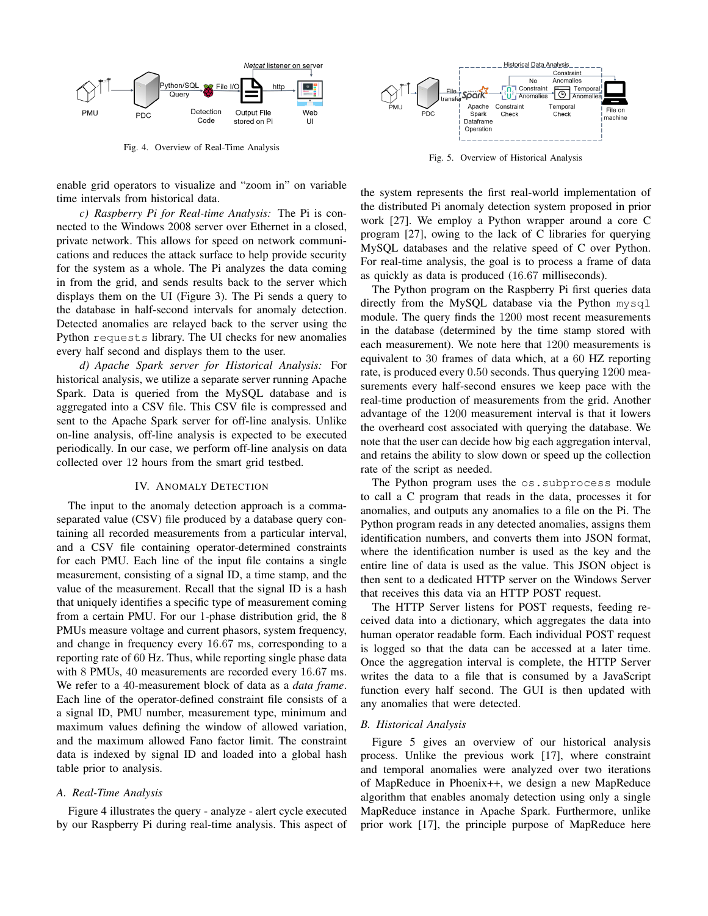

Fig. 4. Overview of Real-Time Analysis

enable grid operators to visualize and "zoom in" on variable time intervals from historical data.

*c) Raspberry Pi for Real-time Analysis:* The Pi is connected to the Windows 2008 server over Ethernet in a closed, private network. This allows for speed on network communications and reduces the attack surface to help provide security for the system as a whole. The Pi analyzes the data coming in from the grid, and sends results back to the server which displays them on the UI (Figure 3). The Pi sends a query to the database in half-second intervals for anomaly detection. Detected anomalies are relayed back to the server using the Python requests library. The UI checks for new anomalies every half second and displays them to the user.

*d) Apache Spark server for Historical Analysis:* For historical analysis, we utilize a separate server running Apache Spark. Data is queried from the MySQL database and is aggregated into a CSV file. This CSV file is compressed and sent to the Apache Spark server for off-line analysis. Unlike on-line analysis, off-line analysis is expected to be executed periodically. In our case, we perform off-line analysis on data collected over 12 hours from the smart grid testbed.

## IV. ANOMALY DETECTION

The input to the anomaly detection approach is a commaseparated value (CSV) file produced by a database query containing all recorded measurements from a particular interval, and a CSV file containing operator-determined constraints for each PMU. Each line of the input file contains a single measurement, consisting of a signal ID, a time stamp, and the value of the measurement. Recall that the signal ID is a hash that uniquely identifies a specific type of measurement coming from a certain PMU. For our 1-phase distribution grid, the 8 PMUs measure voltage and current phasors, system frequency, and change in frequency every 16.67 ms, corresponding to a reporting rate of 60 Hz. Thus, while reporting single phase data with 8 PMUs, 40 measurements are recorded every 16.67 ms. We refer to a 40-measurement block of data as a *data frame*. Each line of the operator-defined constraint file consists of a a signal ID, PMU number, measurement type, minimum and maximum values defining the window of allowed variation, and the maximum allowed Fano factor limit. The constraint data is indexed by signal ID and loaded into a global hash table prior to analysis.

## *A. Real-Time Analysis*

Figure 4 illustrates the query - analyze - alert cycle executed by our Raspberry Pi during real-time analysis. This aspect of



Fig. 5. Overview of Historical Analysis

the system represents the first real-world implementation of the distributed Pi anomaly detection system proposed in prior work [27]. We employ a Python wrapper around a core C program [27], owing to the lack of C libraries for querying MySQL databases and the relative speed of C over Python. For real-time analysis, the goal is to process a frame of data as quickly as data is produced (16.67 milliseconds).

The Python program on the Raspberry Pi first queries data directly from the MySQL database via the Python mysql module. The query finds the 1200 most recent measurements in the database (determined by the time stamp stored with each measurement). We note here that 1200 measurements is equivalent to 30 frames of data which, at a 60 HZ reporting rate, is produced every 0.50 seconds. Thus querying 1200 measurements every half-second ensures we keep pace with the real-time production of measurements from the grid. Another advantage of the 1200 measurement interval is that it lowers the overheard cost associated with querying the database. We note that the user can decide how big each aggregation interval, and retains the ability to slow down or speed up the collection rate of the script as needed.

The Python program uses the os. subprocess module to call a C program that reads in the data, processes it for anomalies, and outputs any anomalies to a file on the Pi. The Python program reads in any detected anomalies, assigns them identification numbers, and converts them into JSON format, where the identification number is used as the key and the entire line of data is used as the value. This JSON object is then sent to a dedicated HTTP server on the Windows Server that receives this data via an HTTP POST request.

The HTTP Server listens for POST requests, feeding received data into a dictionary, which aggregates the data into human operator readable form. Each individual POST request is logged so that the data can be accessed at a later time. Once the aggregation interval is complete, the HTTP Server writes the data to a file that is consumed by a JavaScript function every half second. The GUI is then updated with any anomalies that were detected.

# *B. Historical Analysis*

Figure 5 gives an overview of our historical analysis process. Unlike the previous work [17], where constraint and temporal anomalies were analyzed over two iterations of MapReduce in Phoenix++, we design a new MapReduce algorithm that enables anomaly detection using only a single MapReduce instance in Apache Spark. Furthermore, unlike prior work [17], the principle purpose of MapReduce here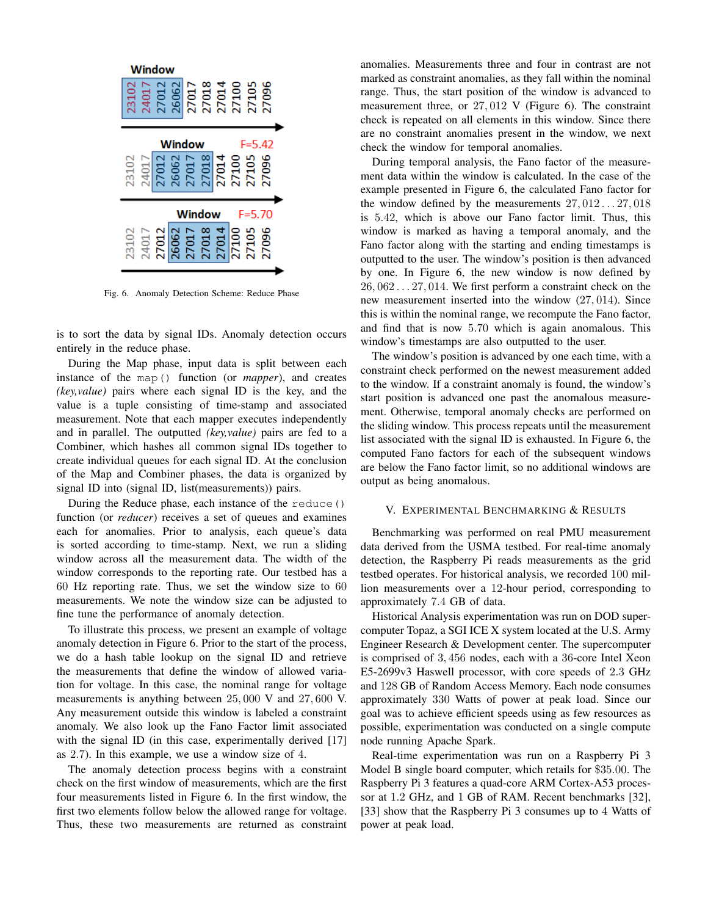

Fig. 6. Anomaly Detection Scheme: Reduce Phase

is to sort the data by signal IDs. Anomaly detection occurs entirely in the reduce phase.

During the Map phase, input data is split between each instance of the map() function (or *mapper*), and creates *(key,value)* pairs where each signal ID is the key, and the value is a tuple consisting of time-stamp and associated measurement. Note that each mapper executes independently and in parallel. The outputted *(key,value)* pairs are fed to a Combiner, which hashes all common signal IDs together to create individual queues for each signal ID. At the conclusion of the Map and Combiner phases, the data is organized by signal ID into (signal ID, list(measurements)) pairs.

During the Reduce phase, each instance of the reduce() function (or *reducer*) receives a set of queues and examines each for anomalies. Prior to analysis, each queue's data is sorted according to time-stamp. Next, we run a sliding window across all the measurement data. The width of the window corresponds to the reporting rate. Our testbed has a 60 Hz reporting rate. Thus, we set the window size to 60 measurements. We note the window size can be adjusted to fine tune the performance of anomaly detection.

To illustrate this process, we present an example of voltage anomaly detection in Figure 6. Prior to the start of the process, we do a hash table lookup on the signal ID and retrieve the measurements that define the window of allowed variation for voltage. In this case, the nominal range for voltage measurements is anything between 25, 000 V and 27, 600 V. Any measurement outside this window is labeled a constraint anomaly. We also look up the Fano Factor limit associated with the signal ID (in this case, experimentally derived [17] as 2.7). In this example, we use a window size of 4.

The anomaly detection process begins with a constraint check on the first window of measurements, which are the first four measurements listed in Figure 6. In the first window, the first two elements follow below the allowed range for voltage. Thus, these two measurements are returned as constraint anomalies. Measurements three and four in contrast are not marked as constraint anomalies, as they fall within the nominal range. Thus, the start position of the window is advanced to measurement three, or 27, 012 V (Figure 6). The constraint check is repeated on all elements in this window. Since there are no constraint anomalies present in the window, we next check the window for temporal anomalies.

During temporal analysis, the Fano factor of the measurement data within the window is calculated. In the case of the example presented in Figure 6, the calculated Fano factor for the window defined by the measurements  $27,012...27,018$ is 5.42, which is above our Fano factor limit. Thus, this window is marked as having a temporal anomaly, and the Fano factor along with the starting and ending timestamps is outputted to the user. The window's position is then advanced by one. In Figure 6, the new window is now defined by  $26,062...27,014$ . We first perform a constraint check on the new measurement inserted into the window (27, 014). Since this is within the nominal range, we recompute the Fano factor, and find that is now 5.70 which is again anomalous. This window's timestamps are also outputted to the user.

The window's position is advanced by one each time, with a constraint check performed on the newest measurement added to the window. If a constraint anomaly is found, the window's start position is advanced one past the anomalous measurement. Otherwise, temporal anomaly checks are performed on the sliding window. This process repeats until the measurement list associated with the signal ID is exhausted. In Figure 6, the computed Fano factors for each of the subsequent windows are below the Fano factor limit, so no additional windows are output as being anomalous.

# V. EXPERIMENTAL BENCHMARKING & RESULTS

Benchmarking was performed on real PMU measurement data derived from the USMA testbed. For real-time anomaly detection, the Raspberry Pi reads measurements as the grid testbed operates. For historical analysis, we recorded 100 million measurements over a 12-hour period, corresponding to approximately 7.4 GB of data.

Historical Analysis experimentation was run on DOD supercomputer Topaz, a SGI ICE X system located at the U.S. Army Engineer Research & Development center. The supercomputer is comprised of 3, 456 nodes, each with a 36-core Intel Xeon E5-2699v3 Haswell processor, with core speeds of 2.3 GHz and 128 GB of Random Access Memory. Each node consumes approximately 330 Watts of power at peak load. Since our goal was to achieve efficient speeds using as few resources as possible, experimentation was conducted on a single compute node running Apache Spark.

Real-time experimentation was run on a Raspberry Pi 3 Model B single board computer, which retails for \$35.00. The Raspberry Pi 3 features a quad-core ARM Cortex-A53 processor at 1.2 GHz, and 1 GB of RAM. Recent benchmarks [32], [33] show that the Raspberry Pi 3 consumes up to 4 Watts of power at peak load.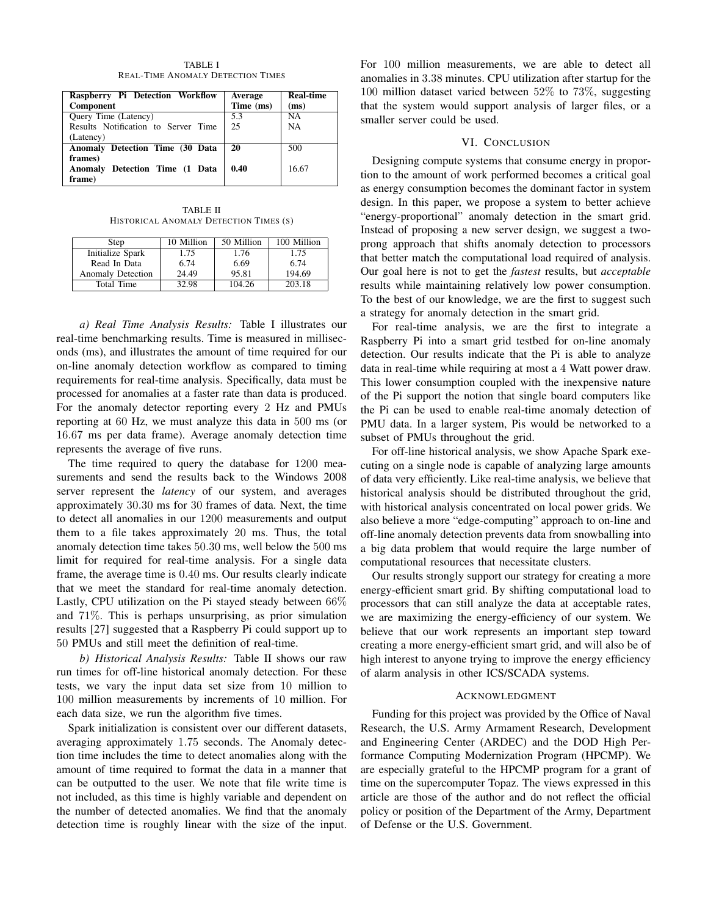| Raspberry Pi Detection Workflow<br>Component | Average<br>Time (ms) | <b>Real-time</b><br>(ms) |
|----------------------------------------------|----------------------|--------------------------|
| Ouery Time (Latency)                         | 5.3                  | <b>NA</b>                |
| Results Notification to Server Time          | 25                   | <b>NA</b>                |
| (Latency)                                    |                      |                          |
| Anomaly Detection Time (30 Data              | 20                   | 500                      |
| frames)                                      |                      |                          |
| Anomaly Detection Time (1 Data               | 0.40                 | 16.67                    |
| frame)                                       |                      |                          |

TABLE I REAL-TIME ANOMALY DETECTION TIMES

TABLE II HISTORICAL ANOMALY DETECTION TIMES (S)

| Step                     | 10 Million | 50 Million | 100 Million |
|--------------------------|------------|------------|-------------|
| Initialize Spark         | 1.75       | 1.76       | 1.75        |
| Read In Data             | 6.74       | 6.69       | 6.74        |
| <b>Anomaly Detection</b> | 24.49      | 95.81      | 194.69      |
| Total Time               | 32.98      | 104.26     | 203.18      |

*a) Real Time Analysis Results:* Table I illustrates our real-time benchmarking results. Time is measured in milliseconds (ms), and illustrates the amount of time required for our on-line anomaly detection workflow as compared to timing requirements for real-time analysis. Specifically, data must be processed for anomalies at a faster rate than data is produced. For the anomaly detector reporting every 2 Hz and PMUs reporting at 60 Hz, we must analyze this data in 500 ms (or 16.67 ms per data frame). Average anomaly detection time represents the average of five runs.

The time required to query the database for 1200 measurements and send the results back to the Windows 2008 server represent the *latency* of our system, and averages approximately 30.30 ms for 30 frames of data. Next, the time to detect all anomalies in our 1200 measurements and output them to a file takes approximately 20 ms. Thus, the total anomaly detection time takes 50.30 ms, well below the 500 ms limit for required for real-time analysis. For a single data frame, the average time is 0.40 ms. Our results clearly indicate that we meet the standard for real-time anomaly detection. Lastly, CPU utilization on the Pi stayed steady between 66% and 71%. This is perhaps unsurprising, as prior simulation results [27] suggested that a Raspberry Pi could support up to 50 PMUs and still meet the definition of real-time.

*b) Historical Analysis Results:* Table II shows our raw run times for off-line historical anomaly detection. For these tests, we vary the input data set size from 10 million to 100 million measurements by increments of 10 million. For each data size, we run the algorithm five times.

Spark initialization is consistent over our different datasets, averaging approximately 1.75 seconds. The Anomaly detection time includes the time to detect anomalies along with the amount of time required to format the data in a manner that can be outputted to the user. We note that file write time is not included, as this time is highly variable and dependent on the number of detected anomalies. We find that the anomaly detection time is roughly linear with the size of the input.

For 100 million measurements, we are able to detect all anomalies in 3.38 minutes. CPU utilization after startup for the 100 million dataset varied between 52% to 73%, suggesting that the system would support analysis of larger files, or a smaller server could be used.

## VI. CONCLUSION

Designing compute systems that consume energy in proportion to the amount of work performed becomes a critical goal as energy consumption becomes the dominant factor in system design. In this paper, we propose a system to better achieve "energy-proportional" anomaly detection in the smart grid. Instead of proposing a new server design, we suggest a twoprong approach that shifts anomaly detection to processors that better match the computational load required of analysis. Our goal here is not to get the *fastest* results, but *acceptable* results while maintaining relatively low power consumption. To the best of our knowledge, we are the first to suggest such a strategy for anomaly detection in the smart grid.

For real-time analysis, we are the first to integrate a Raspberry Pi into a smart grid testbed for on-line anomaly detection. Our results indicate that the Pi is able to analyze data in real-time while requiring at most a 4 Watt power draw. This lower consumption coupled with the inexpensive nature of the Pi support the notion that single board computers like the Pi can be used to enable real-time anomaly detection of PMU data. In a larger system, Pis would be networked to a subset of PMUs throughout the grid.

For off-line historical analysis, we show Apache Spark executing on a single node is capable of analyzing large amounts of data very efficiently. Like real-time analysis, we believe that historical analysis should be distributed throughout the grid, with historical analysis concentrated on local power grids. We also believe a more "edge-computing" approach to on-line and off-line anomaly detection prevents data from snowballing into a big data problem that would require the large number of computational resources that necessitate clusters.

Our results strongly support our strategy for creating a more energy-efficient smart grid. By shifting computational load to processors that can still analyze the data at acceptable rates, we are maximizing the energy-efficiency of our system. We believe that our work represents an important step toward creating a more energy-efficient smart grid, and will also be of high interest to anyone trying to improve the energy efficiency of alarm analysis in other ICS/SCADA systems.

#### ACKNOWLEDGMENT

Funding for this project was provided by the Office of Naval Research, the U.S. Army Armament Research, Development and Engineering Center (ARDEC) and the DOD High Performance Computing Modernization Program (HPCMP). We are especially grateful to the HPCMP program for a grant of time on the supercomputer Topaz. The views expressed in this article are those of the author and do not reflect the official policy or position of the Department of the Army, Department of Defense or the U.S. Government.